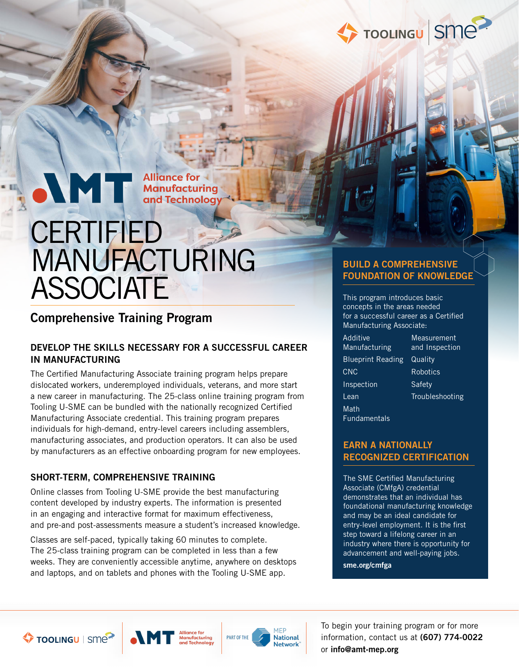

**Alliance for Manufacturing** and Technology

# **CERTIFIED** MANUFACTURING **ASSOCIATE**

### Comprehensive Training Program

#### DEVELOP THE SKILLS NECESSARY FOR A SUCCESSFUL CAREER IN MANUFACTURING

The Certified Manufacturing Associate training program helps prepare dislocated workers, underemployed individuals, veterans, and more start a new career in manufacturing. The 25-class online training program from Tooling U-SME can be bundled with the nationally recognized Certified Manufacturing Associate credential. This training program prepares individuals for high-demand, entry-level careers including assemblers, manufacturing associates, and production operators. It can also be used by manufacturers as an effective onboarding program for new employees.

#### SHORT-TERM, COMPREHENSIVE TRAINING

Online classes from Tooling U-SME provide the best manufacturing content developed by industry experts. The information is presented in an engaging and interactive format for maximum effectiveness, and pre-and post-assessments measure a student's increased knowledge.

Classes are self-paced, typically taking 60 minutes to complete. The 25-class training program can be completed in less than a few weeks. They are conveniently accessible anytime, anywhere on desktops and laptops, and on tablets and phones with the Tooling U-SME app.

#### BUILD A COMPREHENSIVE FOUNDATION OF KNOWLEDGE

This program introduces basic concepts in the areas needed for a successful career as a Certified Manufacturing Associate:

Additive Manufacturing Blueprint Reading Quality CNC Inspection Lean Math Fundamentals

**Measurement** and Inspection Robotics **Safety** Troubleshooting

#### EARN A NATIONALLY RECOGNIZED CERTIFICATION

The SME Certified Manufacturing Associate (CMfgA) credential demonstrates that an individual has foundational manufacturing knowledge and may be an ideal candidate for entry-level employment. It is the first step toward a lifelong career in an industry where there is opportunity for advancement and well-paying jobs.

sme.org/cmfga





To begin your training program or for more information, contact us at (607) 774-0022 or info@amt-mep.org